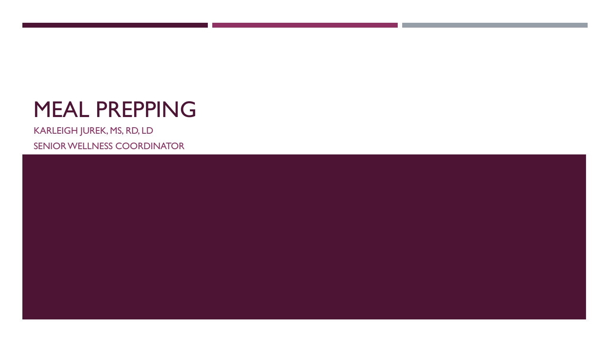# MEAL PREPPING

KARLEIGH JUREK, MS, RD, LD SENIOR WELLNESS COORDINATOR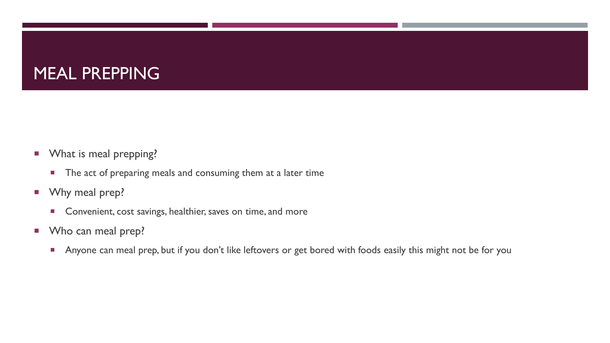#### MEAL PREPPING

- **Now What is meal prepping?** 
	- **The act of preparing meals and consuming them at a later time**
- **Now Why meal prep?** 
	- **Convenient, cost savings, healthier, saves on time, and more**
- **Who can meal prep?** 
	- Anyone can meal prep, but if you don't like leftovers or get bored with foods easily this might not be for you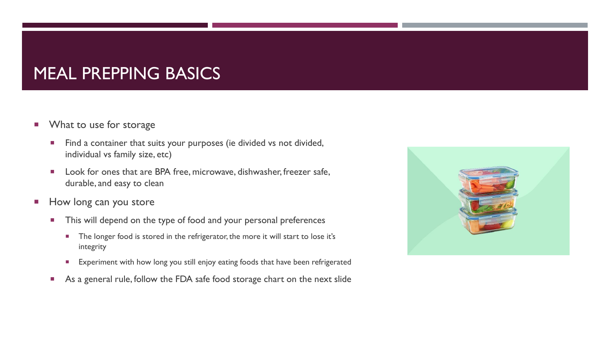#### MEAL PREPPING BASICS

- **No. 3** What to use for storage
	- Find a container that suits your purposes (ie divided vs not divided, individual vs family size, etc)
	- **Look for ones that are BPA free, microwave, dishwasher, freezer safe,** durable, and easy to clean
- How long can you store
	- **This will depend on the type of food and your personal preferences** 
		- The longer food is stored in the refrigerator, the more it will start to lose it's integrity
		- **Experiment with how long you still enjoy eating foods that have been refrigerated**
	- As a general rule, follow the FDA safe food storage chart on the next slide

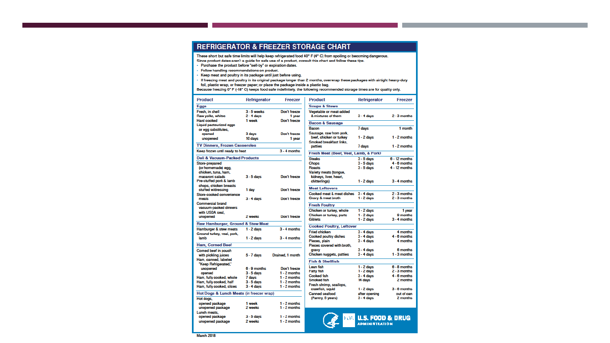#### **REFRIGERATOR & FREEZER STORAGE CHART**

These short but safe time limits will help keep refrigerated food 40° F (4° C) from spoiling or becoming dangerous. Since product dates aren't a quide for safe use of a product, consult this chart and follow these tips.

- Purchase the product before "sell-by" or expiration dates.
- · Follow handling recommendations on product.
- · Keep meat and poultry in its package until just before using.
- If freezing meat and poultry in its original package longer than 2 months, overwrap these packages with airtight heavy-duty foil, plastic wrap, or freezer paper; or place the package inside a plastic bag.
- Because freezing 0° F (-18° C) keeps food safe indefinitely, the following recommended storage times are for quality only.

| <b>Product</b>                                         | Refrigerator                  | Freezer                          | <b>Product</b>                                | Refrigerator                  | Freezer                |
|--------------------------------------------------------|-------------------------------|----------------------------------|-----------------------------------------------|-------------------------------|------------------------|
| <b>Eggs</b>                                            |                               |                                  | <b>Soups &amp; Stews</b>                      |                               |                        |
| Fresh, in shell<br>Raw volks, whites                   | $3 - 5$ weeks<br>$2 - 4$ days | Don't freeze<br>1 year           | Vegetable or meat-added<br>& mixtures of them | $3 - 4$ days                  | $2 - 3$ months         |
| <b>Hard cooked</b>                                     | 1 week                        | Don't freeze                     | <b>Bacon &amp; Sausage</b>                    |                               |                        |
| <b>Liquid pasteurized eggs</b>                         |                               |                                  | Bacon                                         | 7 days                        | 1 month                |
| or egg substitutes,<br>opened                          | 3 days                        | Don't freeze                     | Sausage, raw from pork.                       |                               |                        |
| unopened                                               | 10 days                       | 1 year                           | beef, chicken or turkey                       | $1 - 2$ days                  | $1 - 2$ months         |
|                                                        |                               |                                  | Smoked breakfast links,                       |                               |                        |
| <b>TV Dinners, Frozen Casseroles</b><br>$3 - 4$ months |                               |                                  | patties                                       | 7 days                        | $1 - 2$ months         |
| Keep frozen until ready to heat                        |                               |                                  | Fresh Meat (Beef, Veal, Lamb, & Pork)         |                               |                        |
| Deli & Vacuum-Packed Products                          |                               |                                  | <b>Steaks</b>                                 | $3 - 5$ days                  | $6 - 12$ months        |
| Store-prepared                                         |                               |                                  | <b>Choos</b>                                  | $3 - 5$ days                  | $4 - 6$ months         |
| (or homemade) egg.                                     |                               |                                  | Roasts                                        | $3 - 5$ days                  | $4 - 12$ months        |
| chicken, tuna, ham.                                    |                               |                                  | Variety meats (tonque,                        |                               |                        |
| macaroni salads<br>Pre-stuffed pork & lamb             | $3 - 5$ days                  | Don't freeze                     | kidneys, liver, heart,                        |                               |                        |
| chops, chicken breasts                                 |                               |                                  | chitterlings)                                 | $1 - 2$ days                  | $3 - 4$ months         |
| stuffed w/dressing                                     | 1 day                         | Don't freeze                     | <b>Meat Leftovers</b>                         |                               |                        |
| Store-cooked convenience                               |                               |                                  | Cooked meat & meat dishes                     | $3 - 4$ days                  | $2 - 3$ months         |
| meals                                                  | $3 - 4$ days                  | Don't freeze                     | Gravy & meat broth                            | $1 - 2$ days                  | $2 - 3$ months         |
| <b>Commercial brand</b>                                |                               |                                  | <b>Fresh Poultry</b>                          |                               |                        |
| vacuum-packed dinners                                  |                               |                                  | Chicken or turkey, whole                      | $1 - 2$ days                  | 1 year                 |
| with USDA seal.                                        | 2 weeks                       | Don't freeze                     | Chicken or turkey, parts                      | $1 - 2$ days                  | 9 months               |
| unopened                                               |                               |                                  | <b>Giblets</b>                                | $1 - 2$ days                  | $3 - 4$ months         |
| Raw Hamburger, Ground & Stew Meat                      |                               |                                  | <b>Cooked Poultry, Leftover</b>               |                               |                        |
| Hamburger & stew meats                                 | $1 - 2$ days                  | $3 - 4$ months                   | <b>Fried chicken</b>                          | $3 - 4$ days                  | 4 months               |
| Ground turkey, yeal, pork,                             |                               |                                  | <b>Cooked poultry dishes</b>                  | $3 - 4$ days                  | $4 - 6$ months         |
| lamb                                                   | $1 - 2$ days                  | $3 - 4$ months                   | Pieces, plain                                 | $3 - 4$ days                  | 4 months               |
| <b>Ham, Corned Beef</b>                                |                               |                                  | Pieces covered with broth.                    |                               |                        |
| Corned beef in pouch                                   |                               |                                  | gravy                                         | $3 - 4$ days                  | 6 months               |
| with pickling juices                                   | 5 - 7 days                    | Drained, 1 month                 | Chicken nuggets, patties                      | $3 - 4$ days                  | $1 - 3$ months         |
| Ham, canned, labeled                                   |                               |                                  | <b>Fish &amp; Shellfish</b>                   |                               |                        |
| "Keep Refrigerated."                                   | $6 - 9$ months                | Don't freeze                     | Lean fish                                     | $1 - 2$ days                  | $6 - 8$ months         |
| unopened<br>opened                                     | $3 - 5$ days                  | $1 - 2$ months                   | <b>Fatty fish</b>                             | $1 - 2$ days                  | $2 - 3$ months         |
| Ham, fully cooked, whole                               | 7 days                        | $1 - 2$ months                   | <b>Cooked fish</b>                            | $3 - 4$ days                  | $4 - 6$ months         |
| Ham, fully cooked, half                                | $3 - 5$ days                  | $1 - 2$ months                   | Smoked fish                                   | 14 days                       | 2 months               |
| Ham, fully cooked, slices                              | $3 - 4$ days                  | $1 - 2$ months                   | Fresh shrimp, scallops,                       |                               |                        |
|                                                        |                               |                                  | crawfish, squid                               | $1 - 2$ days                  | $3 - 6$ months         |
| Hot Dogs & Lunch Meats (in freezer wrap)               |                               |                                  | Canned seafood<br>(Pantry, 5 years)           | after opening<br>$3 - 4$ days | out of can<br>2 months |
| Hot dogs,                                              |                               |                                  |                                               |                               |                        |
| opened package<br>unopened package                     | 1 week<br>2 weeks             | $1 - 2$ months<br>$1 - 2$ months |                                               |                               |                        |
| Lunch meats.                                           |                               |                                  |                                               |                               |                        |
| opened package                                         | $3 - 5$ days                  | $1 - 2$ months                   | FOAT                                          |                               |                        |
| $1 - 2$ months<br>unopened package<br>2 weeks          |                               |                                  |                                               | <b>U.S. FOOD &amp; DRUG</b>   |                        |
|                                                        |                               |                                  |                                               | <b>ADMINISTRATION</b>         |                        |

March 2018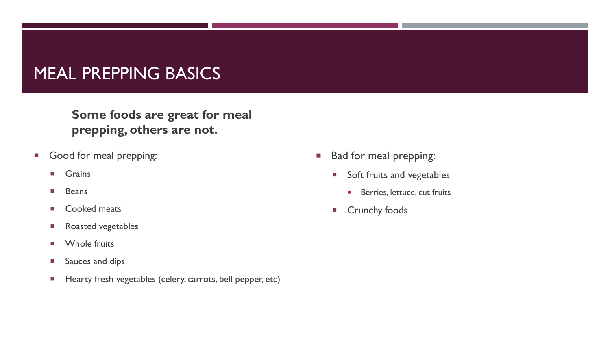#### MEAL PREPPING BASICS

**Some foods are great for meal prepping, others are not.** 

- Good for meal prepping:
	- **Grains**
	- **Beans**
	- Cooked meats
	- **Roasted vegetables**
	- **Number** Whole fruits
	- **Sauces and dips**
	- **Hearty fresh vegetables (celery, carrots, bell pepper, etc)**
- **Bad for meal prepping:** 
	- Soft fruits and vegetables
		- **Berries, lettuce, cut fruits**
	- **E** Crunchy foods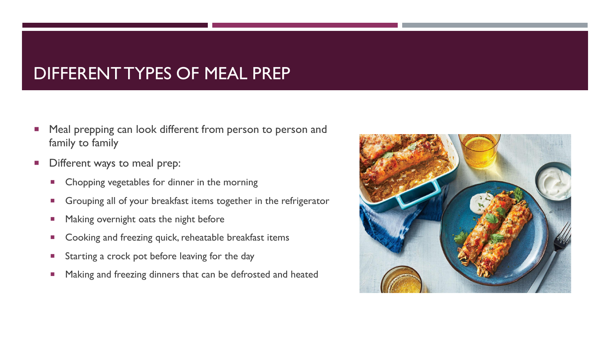#### DIFFERENT TYPES OF MEAL PREP

- Meal prepping can look different from person to person and family to family
- Different ways to meal prep:
	- **Chopping vegetables for dinner in the morning**
	- Grouping all of your breakfast items together in the refrigerator
	- **Making overnight oats the night before**
	- **Cooking and freezing quick, reheatable breakfast items**
	- **Starting a crock pot before leaving for the day**
	- **Making and freezing dinners that can be defrosted and heated**

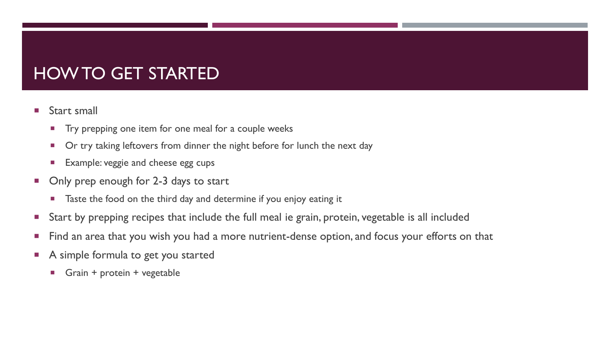## HOW TO GET STARTED

- **Start small** 
	- **Try prepping one item for one meal for a couple weeks**
	- Or try taking leftovers from dinner the night before for lunch the next day
	- **Example: veggie and cheese egg cups**
- Only prep enough for 2-3 days to start
	- Taste the food on the third day and determine if you enjoy eating it
- **Start by prepping recipes that include the full meal ie grain, protein, vegetable is all included**
- **Find an area that you wish you had a more nutrient-dense option, and focus your efforts on that**
- A simple formula to get you started
	- **Grain + protein + vegetable**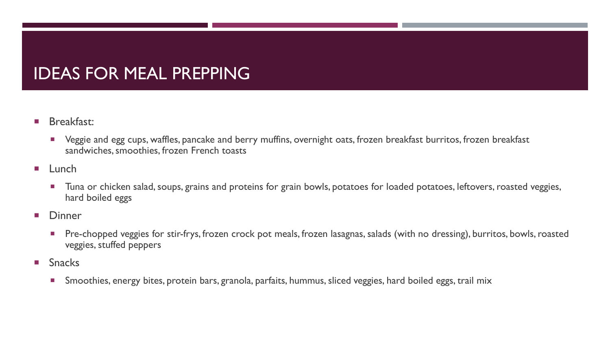## IDEAS FOR MEAL PREPPING

- **Breakfast:** 
	- Veggie and egg cups, waffles, pancake and berry muffins, overnight oats, frozen breakfast burritos, frozen breakfast sandwiches, smoothies, frozen French toasts
- $\blacksquare$  Lunch
	- **Tuna or chicken salad, soups, grains and proteins for grain bowls, potatoes for loaded potatoes, leftovers, roasted veggies,** hard boiled eggs
- **Dinner** 
	- Pre-chopped veggies for stir-frys, frozen crock pot meals, frozen lasagnas, salads (with no dressing), burritos, bowls, roasted veggies, stuffed peppers
- **Snacks** 
	- Smoothies, energy bites, protein bars, granola, parfaits, hummus, sliced veggies, hard boiled eggs, trail mix